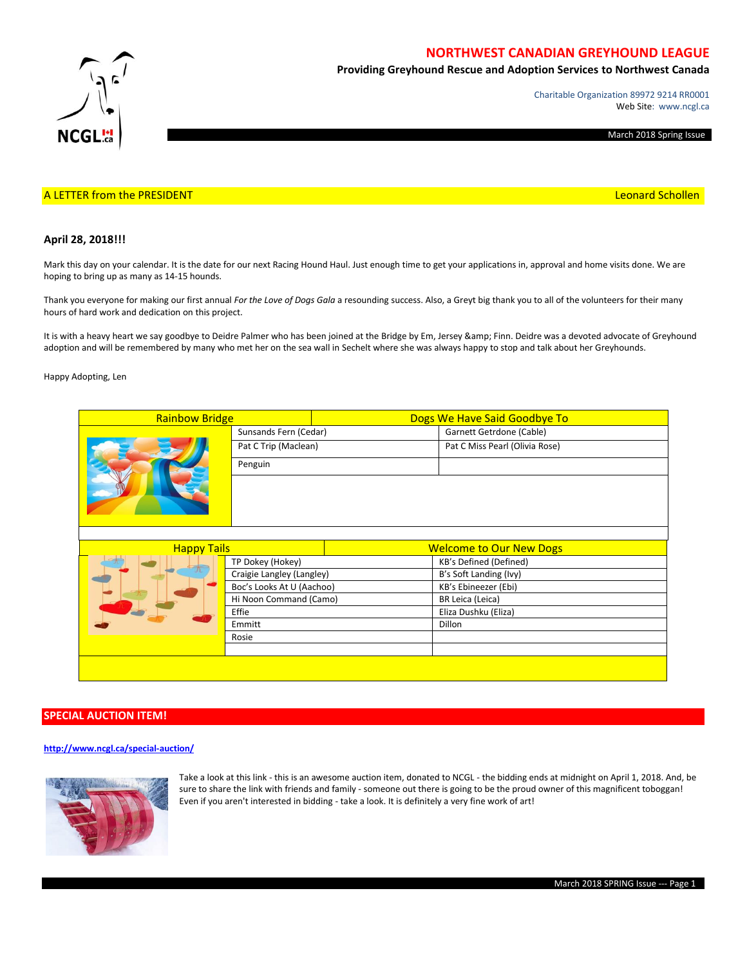

# **NORTHWEST CANADIAN GREYHOUND LEAGUE**

**Providing Greyhound Rescue and Adoption Services to Northwest Canada**

Charitable Organization 89972 9214 RR0001 Web Site: www.ncgl.ca

March 2018 Spring Issue

### A LETTER from the PRESIDENT **Leonard Schollen** and the Control of the Control of the Control of the Control of the Control of the Control of the Control of the Control of the Control of the Control of the Control of the Co

### **April 28, 2018!!!**

Mark this day on your calendar. It is the date for our next Racing Hound Haul. Just enough time to get your applications in, approval and home visits done. We are hoping to bring up as many as 14-15 hounds.

Thank you everyone for making our first annual *For the Love of Dogs Gala* a resounding success. Also, a Greyt big thank you to all of the volunteers for their many hours of hard work and dedication on this project.

It is with a heavy heart we say goodbye to Deidre Palmer who has been joined at the Bridge by Em, Jersey & amp; Finn. Deidre was a devoted advocate of Greyhound adoption and will be remembered by many who met her on the sea wall in Sechelt where she was always happy to stop and talk about her Greyhounds.

Happy Adopting, Len

| <b>Rainbow Bridge</b> |                           | Dogs We Have Said Goodbye To   |                                |  |  |  |
|-----------------------|---------------------------|--------------------------------|--------------------------------|--|--|--|
|                       | Sunsands Fern (Cedar)     |                                | Garnett Getrdone (Cable)       |  |  |  |
|                       | Pat C Trip (Maclean)      |                                | Pat C Miss Pearl (Olivia Rose) |  |  |  |
|                       | Penguin                   |                                |                                |  |  |  |
|                       |                           |                                |                                |  |  |  |
|                       |                           |                                |                                |  |  |  |
| <b>Happy Tails</b>    |                           | <b>Welcome to Our New Dogs</b> |                                |  |  |  |
|                       | TP Dokey (Hokey)          |                                | KB's Defined (Defined)         |  |  |  |
|                       | Craigie Langley (Langley) |                                | B's Soft Landing (Ivy)         |  |  |  |
|                       | Boc's Looks At U (Aachoo) |                                | KB's Ebineezer (Ebi)           |  |  |  |
|                       | Hi Noon Command (Camo)    |                                | BR Leica (Leica)               |  |  |  |
|                       | Effie                     |                                | Eliza Dushku (Eliza)           |  |  |  |
|                       | Emmitt                    |                                | <b>Dillon</b>                  |  |  |  |
|                       | Rosie                     |                                |                                |  |  |  |
|                       |                           |                                |                                |  |  |  |
|                       |                           |                                |                                |  |  |  |
|                       |                           |                                |                                |  |  |  |

# **SPECIAL AUCTION ITEM!**

### **<http://www.ncgl.ca/special-auction/>**



Take a look at this link - this is an awesome auction item, donated to NCGL - the bidding ends at midnight on April 1, 2018. And, be sure to share the link with friends and family - someone out there is going to be the proud owner of this magnificent toboggan! Even if you aren't interested in bidding - take a look. It is definitely a very fine work of art!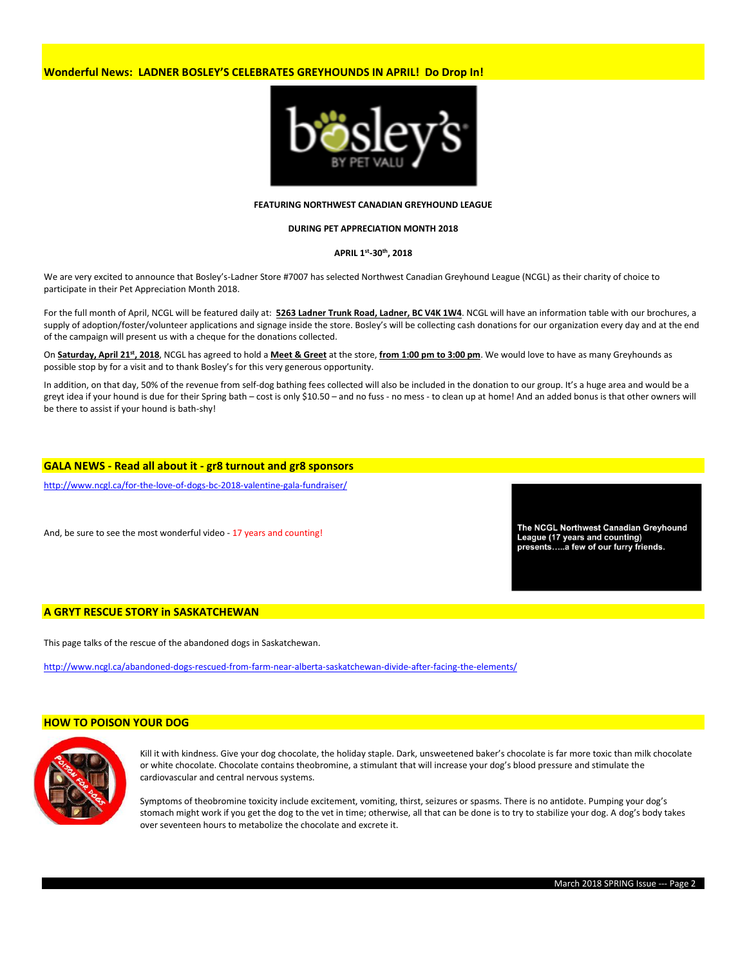# **Wonderful News: LADNER BOSLEY'S CELEBRATES GREYHOUNDS IN APRIL! Do Drop In!**



#### **FEATURING NORTHWEST CANADIAN GREYHOUND LEAGUE**

## **DURING PET APPRECIATION MONTH 2018**

#### **APRIL 1st -30th, 2018**

We are very excited to announce that Bosley's-Ladner Store #7007 has selected Northwest Canadian Greyhound League (NCGL) as their charity of choice to participate in their Pet Appreciation Month 2018.

For the full month of April, NCGL will be featured daily at: **5263 Ladner Trunk Road, Ladner, BC V4K 1W4**. NCGL will have an information table with our brochures, a supply of adoption/foster/volunteer applications and signage inside the store. Bosley's will be collecting cash donations for our organization every day and at the end of the campaign will present us with a cheque for the donations collected.

On **Saturday, April 21st, 2018**, NCGL has agreed to hold a **Meet & Greet** at the store, **from 1:00 pm to 3:00 pm**. We would love to have as many Greyhounds as possible stop by for a visit and to thank Bosley's for this very generous opportunity.

In addition, on that day, 50% of the revenue from self-dog bathing fees collected will also be included in the donation to our group. It's a huge area and would be a greyt idea if your hound is due for their Spring bath – cost is only \$10.50 – and no fuss - no mess - to clean up at home! And an added bonus is that other owners will be there to assist if your hound is bath-shy!

#### **GALA NEWS - Read all about it - gr8 turnout and gr8 sponsors**

<http://www.ncgl.ca/for-the-love-of-dogs-bc-2018-valentine-gala-fundraiser/>

And, be sure to see the most wonderful video - 17 years and counting!

The NCGL Northwest Canadian Greyhound League (17 years and counting) presents.....a few of our furry friends.

#### **A GRYT RESCUE STORY in SASKATCHEWAN**

This page talks of the rescue of the abandoned dogs in Saskatchewan.

<http://www.ncgl.ca/abandoned-dogs-rescued-from-farm-near-alberta-saskatchewan-divide-after-facing-the-elements/>

### **HOW TO POISON YOUR DOG**



Kill it with kindness. Give your dog chocolate, the holiday staple. Dark, unsweetened baker's chocolate is far more toxic than milk chocolate or white chocolate. Chocolate contains theobromine, a stimulant that will increase your dog's blood pressure and stimulate the cardiovascular and central nervous systems.

Symptoms of theobromine toxicity include excitement, vomiting, thirst, seizures or spasms. There is no antidote. Pumping your dog's stomach might work if you get the dog to the vet in time; otherwise, all that can be done is to try to stabilize your dog. A dog's body takes over seventeen hours to metabolize the chocolate and excrete it.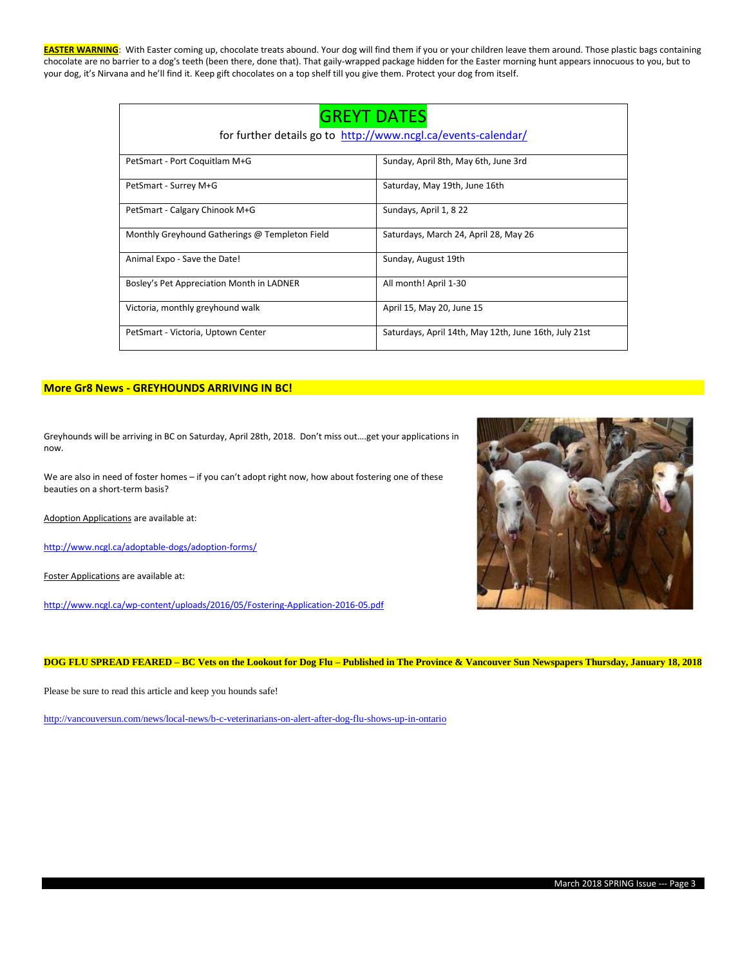**EASTER WARNING**: With Easter coming up, chocolate treats abound. Your dog will find them if you or your children leave them around. Those plastic bags containing chocolate are no barrier to a dog's teeth (been there, done that). That gaily-wrapped package hidden for the Easter morning hunt appears innocuous to you, but to your dog, it's Nirvana and he'll find it. Keep gift chocolates on a top shelf till you give them. Protect your dog from itself.

| <b>GREYT DATES</b>                                            |                                                       |  |  |  |  |
|---------------------------------------------------------------|-------------------------------------------------------|--|--|--|--|
| for further details go to http://www.ncgl.ca/events-calendar/ |                                                       |  |  |  |  |
| PetSmart - Port Coquitlam M+G                                 | Sunday, April 8th, May 6th, June 3rd                  |  |  |  |  |
| PetSmart - Surrey M+G                                         | Saturday, May 19th, June 16th                         |  |  |  |  |
| PetSmart - Calgary Chinook M+G                                | Sundays, April 1, 8 22                                |  |  |  |  |
| Monthly Greyhound Gatherings @ Templeton Field                | Saturdays, March 24, April 28, May 26                 |  |  |  |  |
| Animal Expo - Save the Date!                                  | Sunday, August 19th                                   |  |  |  |  |
| Bosley's Pet Appreciation Month in LADNER                     | All month! April 1-30                                 |  |  |  |  |
| Victoria, monthly greyhound walk                              | April 15, May 20, June 15                             |  |  |  |  |
| PetSmart - Victoria, Uptown Center                            | Saturdays, April 14th, May 12th, June 16th, July 21st |  |  |  |  |

# **More Gr8 News - GREYHOUNDS ARRIVING IN BC!**

Greyhounds will be arriving in BC on Saturday, April 28th, 2018. Don't miss out….get your applications in now.

We are also in need of foster homes – if you can't adopt right now, how about fostering one of these beauties on a short-term basis?

Adoption Applications are available at:

<http://www.ncgl.ca/adoptable-dogs/adoption-forms/>

Foster Applications are available at:

<http://www.ncgl.ca/wp-content/uploads/2016/05/Fostering-Application-2016-05.pdf>



**DOG FLU SPREAD FEARED – BC Vets on the Lookout for Dog Flu – Published in The Province & Vancouver Sun Newspapers Thursday, January 18, 2018**

Please be sure to read this article and keep you hounds safe!

<http://vancouversun.com/news/local-news/b-c-veterinarians-on-alert-after-dog-flu-shows-up-in-ontario>